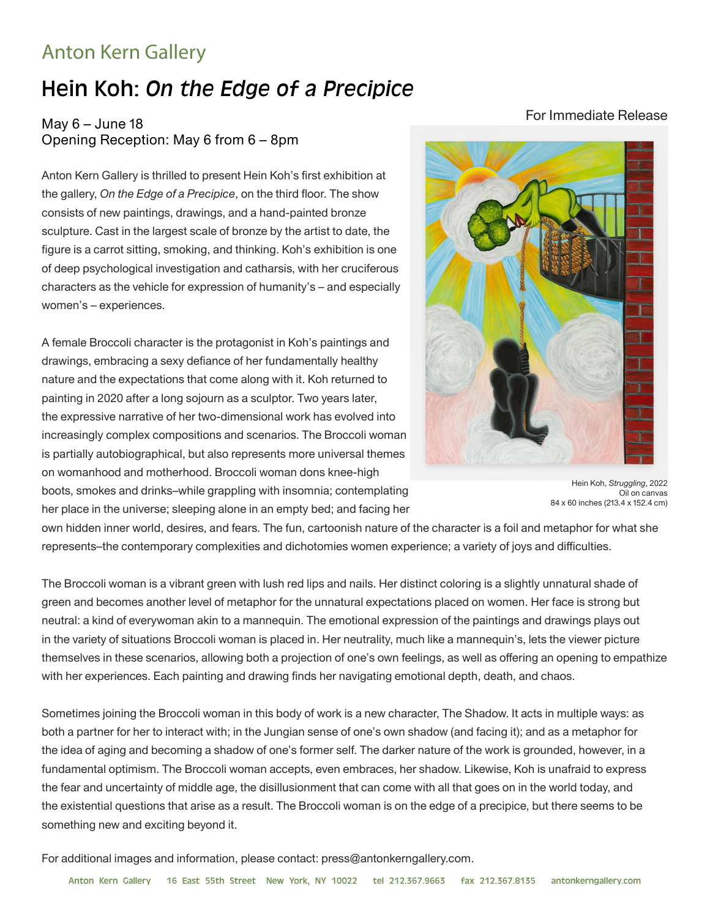## Anton Kern Gallery

## Hein Koh: *On the Edge of a Precipice*

## May  $6 -$  June 18 Opening Reception: May 6 from 6 – 8pm

Anton Kern Gallery is thrilled to present Hein Koh's first exhibition at the gallery, *On the Edge of a Precipice*, on the third floor. The show consists of new paintings, drawings, and a hand-painted bronze sculpture. Cast in the largest scale of bronze by the artist to date, the figure is a carrot sitting, smoking, and thinking. Koh's exhibition is one of deep psychological investigation and catharsis, with her cruciferous characters as the vehicle for expression of humanity's – and especially women's – experiences.

A female Broccoli character is the protagonist in Koh's paintings and drawings, embracing a sexy defiance of her fundamentally healthy nature and the expectations that come along with it. Koh returned to painting in 2020 after a long sojourn as a sculptor. Two years later, the expressive narrative of her two-dimensional work has evolved into increasingly complex compositions and scenarios. The Broccoli woman is partially autobiographical, but also represents more universal themes on womanhood and motherhood. Broccoli woman dons knee-high boots, smokes and drinks–while grappling with insomnia; contemplating her place in the universe; sleeping alone in an empty bed; and facing her

Hein Koh, *Struggling*, 2022 Oil on canvas 84 x 60 inches (213.4 x 152.4 cm)

own hidden inner world, desires, and fears. The fun, cartoonish nature of the character is a foil and metaphor for what she represents–the contemporary complexities and dichotomies women experience; a variety of joys and difficulties.

The Broccoli woman is a vibrant green with lush red lips and nails. Her distinct coloring is a slightly unnatural shade of green and becomes another level of metaphor for the unnatural expectations placed on women. Her face is strong but neutral: a kind of everywoman akin to a mannequin. The emotional expression of the paintings and drawings plays out in the variety of situations Broccoli woman is placed in. Her neutrality, much like a mannequin's, lets the viewer picture themselves in these scenarios, allowing both a projection of one's own feelings, as well as offering an opening to empathize with her experiences. Each painting and drawing finds her navigating emotional depth, death, and chaos.

Sometimes joining the Broccoli woman in this body of work is a new character, The Shadow. It acts in multiple ways: as both a partner for her to interact with; in the Jungian sense of one's own shadow (and facing it); and as a metaphor for the idea of aging and becoming a shadow of one's former self. The darker nature of the work is grounded, however, in a fundamental optimism. The Broccoli woman accepts, even embraces, her shadow. Likewise, Koh is unafraid to express the fear and uncertainty of middle age, the disillusionment that can come with all that goes on in the world today, and the existential questions that arise as a result. The Broccoli woman is on the edge of a precipice, but there seems to be something new and exciting beyond it.

For additional images and information, please contact: press@antonkerngallery.com.

## For Immediate Release